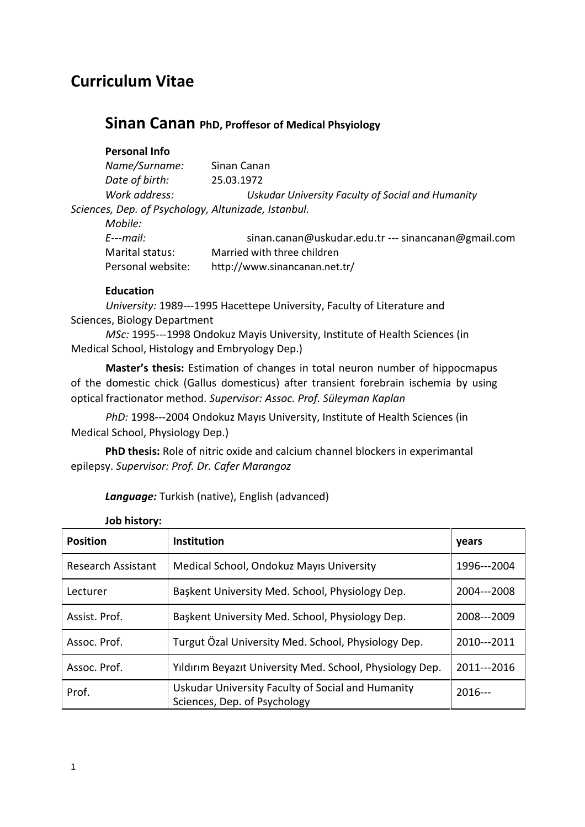## **Curriculum Vitae**

### **Sinan Canan PhD, Proffesor of Medical Phsyiology**

**Personal Info**

| Name/Surname:                                       | Sinan Canan                                       |
|-----------------------------------------------------|---------------------------------------------------|
| Date of birth:                                      | 25.03.1972                                        |
| Work address:                                       | Uskudar University Faculty of Social and Humanity |
| Sciences, Dep. of Psychology, Altunizade, Istanbul. |                                                   |

*Mobile: E*--*mail:* sinan.canan@uskudar.edu.tr --- sinancanan@gmail.com Marital status: Married with three children Personal website: http://www.sinancanan.net.tr/

#### **Education**

University: 1989---1995 Hacettepe University, Faculty of Literature and Sciences, Biology Department

*MSc:* 1995---1998 Ondokuz Mayis University, Institute of Health Sciences (in Medical School, Histology and Embryology Dep.)

**Master's thesis:** Estimation of changes in total neuron number of hippocmapus of the domestic chick (Gallus domesticus) after transient forebrain ischemia by using optical fractionator method. *Supervisor: Assoc. Prof. Süleyman Kaplan*

PhD: 1998---2004 Ondokuz Mayıs University, Institute of Health Sciences (in Medical School, Physiology Dep.)

**PhD thesis:** Role of nitric oxide and calcium channel blockers in experimantal epilepsy. *Supervisor: Prof. Dr. Cafer Marangoz*

*Language:* Turkish (native), English (advanced)

| JUN IIIJLUI V.            |                                                                                   |             |
|---------------------------|-----------------------------------------------------------------------------------|-------------|
| <b>Position</b>           | <b>Institution</b>                                                                | years       |
| <b>Research Assistant</b> | Medical School, Ondokuz Mayıs University                                          | 1996---2004 |
| Lecturer                  | Baskent University Med. School, Physiology Dep.                                   | 2004---2008 |
| Assist. Prof.             | Baskent University Med. School, Physiology Dep.                                   | 2008---2009 |
| Assoc. Prof.              | Turgut Özal University Med. School, Physiology Dep.                               | 2010---2011 |
| Assoc. Prof.              | Yıldırım Beyazıt University Med. School, Physiology Dep.                          | 2011---2016 |
| Prof.                     | Uskudar University Faculty of Social and Humanity<br>Sciences, Dep. of Psychology | $2016--$    |

**Job history:**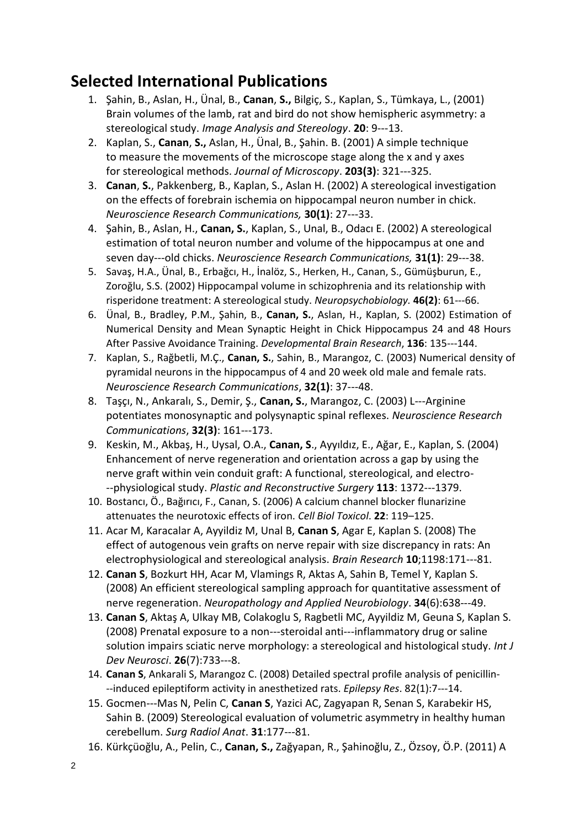## **Selected International Publications**

- 1. Şahin, B., Aslan, H., Ünal, B., **Canan**, **S.,** Bilgiç, S., Kaplan, S., Tümkaya, L., (2001) Brain volumes of the lamb, rat and bird do not show hemispheric asymmetry: a stereological study. *Image Analysis and Stereology*. **20**: 9---13.
- 2. Kaplan, S., **Canan**, **S.,** Aslan, H., Ünal, B., Şahin. B. (2001) A simple technique to measure the movements of the microscope stage along the x and y axes for stereological methods. Journal of Microscopy. 203(3): 321---325.
- 3. **Canan**, **S.**, Pakkenberg, B., Kaplan, S., Aslan H. (2002) A stereological investigation on the effects of forebrain ischemia on hippocampal neuron number in chick. *Neuroscience Research Communications, 30(1): 27---33.*
- 4. Şahin, B., Aslan, H., **Canan, S.**, Kaplan, S., Unal, B., Odacı E. (2002) A stereological estimation of total neuron number and volume of the hippocampus at one and seven day---old chicks. *Neuroscience Research Communications*, 31(1): 29---38.
- 5. Savaş, H.A., Ünal, B., Erbağcı, H., İnalöz, S., Herken, H., Canan, S., Gümüşburun, E., Zoroğlu, S.S. (2002) Hippocampal volume in schizophrenia and its relationship with risperidone treatment: A stereological study. *Neuropsychobiology*. **46(2)**: 61---66.
- 6. Ünal, B., Bradley, P.M., Şahin, B., **Canan, S.**, Aslan, H., Kaplan, S. (2002) Estimation of Numerical Density and Mean Synaptic Height in Chick Hippocampus 24 and 48 Hours After Passive Avoidance Training. *Developmental Brain Research*, **136**: 135-144.
- 7. Kaplan, S., Rağbetli, M.Ç., **Canan, S.**, Sahin, B., Marangoz, C. (2003) Numerical density of pyramidal neurons in the hippocampus of 4 and 20 week old male and female rats. *Neuroscience Research Communications*, **32(1)**: 37---48.
- 8. Taşçı, N., Ankaralı, S., Demir, Ş., **Canan, S.**, Marangoz, C. (2003) L---Arginine potentiates monosynaptic and polysynaptic spinal reflexes. *Neuroscience Research Communications*, **32(3)**: 161---173.
- 9. Keskin, M., Akbaş, H., Uysal, O.A., **Canan, S**., Ayyıldız, E., Ağar, E., Kaplan, S. (2004) Enhancement of nerve regeneration and orientation across a gap by using the nerve graft within vein conduit graft: A functional, stereological, and electro- --physiological study. *Plastic and Reconstructive Surgery* 113: 1372---1379.
- 10. Bostancı, Ö., Bağırıcı, F., Canan, S. (2006) A calcium channel blocker flunarizine attenuates the neurotoxic effects of iron. *Cell Biol Toxicol*. **22**: 119–125.
- 11. Acar M, Karacalar A, Ayyildiz M, Unal B, **Canan S**, Agar E, Kaplan S. (2008) The effect of autogenous vein grafts on nerve repair with size discrepancy in rats: An electrophysiological and stereological analysis. *Brain Research* 10;1198:171---81.
- 12. **Canan S**, Bozkurt HH, Acar M, Vlamings R, Aktas A, Sahin B, Temel Y, Kaplan S. (2008) An efficient stereological sampling approach for quantitative assessment of nerve regeneration. *Neuropathology and Applied Neurobiology*. **34**(6):638-49.
- 13. **Canan S**, Aktaş A, Ulkay MB, Colakoglu S, Ragbetli MC, Ayyildiz M, Geuna S, Kaplan S. (2008) Prenatal exposure to a non---steroidal anti---inflammatory drug or saline solution impairs sciatic nerve morphology: a stereological and histological study. *Int J Dev Neurosci*. **26**(7):733---8.
- 14. **Canan S**, Ankarali S, Marangoz C. (2008) Detailed spectral profile analysis of penicillin- --induced epileptiform activity in anesthetized rats. *Epilepsy Res*. 82(1):7---14.
- 15. Gocmen---Mas N, Pelin C, Canan S, Yazici AC, Zagyapan R, Senan S, Karabekir HS, Sahin B. (2009) Stereological evaluation of volumetric asymmetry in healthy human cerebellum. *Surg Radiol Anat*. 31:177---81.
- 16. Kürkçüoğlu, A., Pelin, C., **Canan, S.,** Zağyapan, R., Şahinoğlu, Z., Özsoy, Ö.P. (2011) A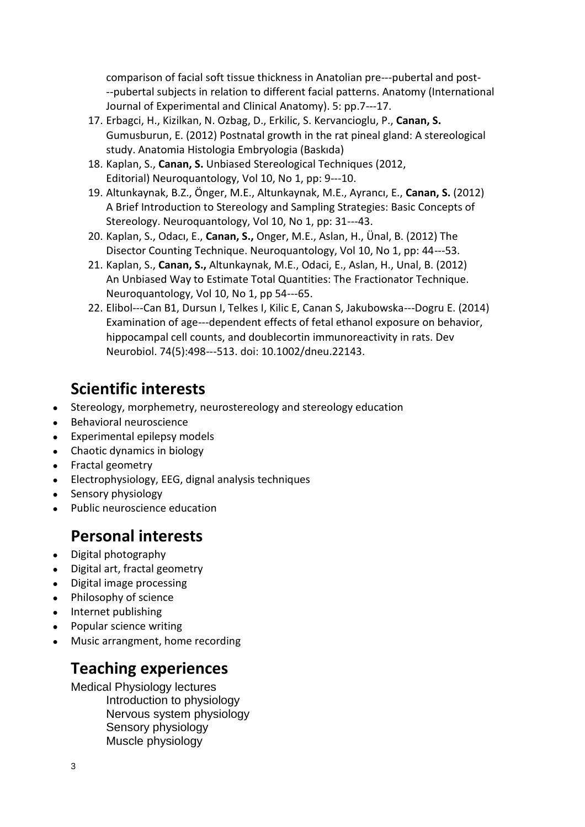comparison of facial soft tissue thickness in Anatolian pre---pubertal and postpubertal subjects in relation to different facial patterns. Anatomy (International Journal of Experimental and Clinical Anatomy). 5: pp.7---17.

- 17. Erbagci, H., Kizilkan, N. Ozbag, D., Erkilic, S. Kervancioglu, P., **Canan, S.** Gumusburun, E. (2012) Postnatal growth in the rat pineal gland: A stereological study. Anatomia Histologia Embryologia (Baskıda)
- 18. Kaplan, S., **Canan, S.** Unbiased Stereological Techniques (2012, Editorial) Neuroquantology, Vol 10, No 1, pp: 9---10.
- 19. Altunkaynak, B.Z., Önger, M.E., Altunkaynak, M.E., Ayrancı, E., **Canan, S.** (2012) A Brief Introduction to Stereology and Sampling Strategies: Basic Concepts of Stereology. Neuroquantology, Vol 10, No 1, pp: 31---43.
- 20. Kaplan, S., Odacı, E., **Canan, S.,** Onger, M.E., Aslan, H., Ünal, B. (2012) The Disector Counting Technique. Neuroquantology, Vol 10, No 1, pp: 44---53.
- 21. Kaplan, S., **Canan, S.,** Altunkaynak, M.E., Odaci, E., Aslan, H., Unal, B. (2012) An Unbiased Way to Estimate Total Quantities: The Fractionator Technique. Neuroquantology, Vol 10, No 1, pp 54---65.
- 22. Elibol---Can B1, Dursun I, Telkes I, Kilic E, Canan S, Jakubowska---Dogru E, (2014) Examination of age---dependent effects of fetal ethanol exposure on behavior, hippocampal cell counts, and doublecortin immunoreactivity in rats. Dev Neurobiol. 74(5):498---513. doi: 10.1002/dneu.22143.

# **Scientific interests**

- Stereology, morphemetry, neurostereology and stereology education
- **Behavioral neuroscience**
- Experimental epilepsy models
- Chaotic dynamics in biology
- Fractal geometry
- Electrophysiology, EEG, dignal analysis techniques
- Sensory physiology
- Public neuroscience education

## **Personal interests**

- Digital photography
- Digital art, fractal geometry
- Digital image processing
- Philosophy of science
- Internet publishing
- Popular science writing
- Music arrangment, home recording

## **Teaching experiences**

Medical Physiology lectures Introduction to physiology Nervous system physiology Sensory physiology Muscle physiology